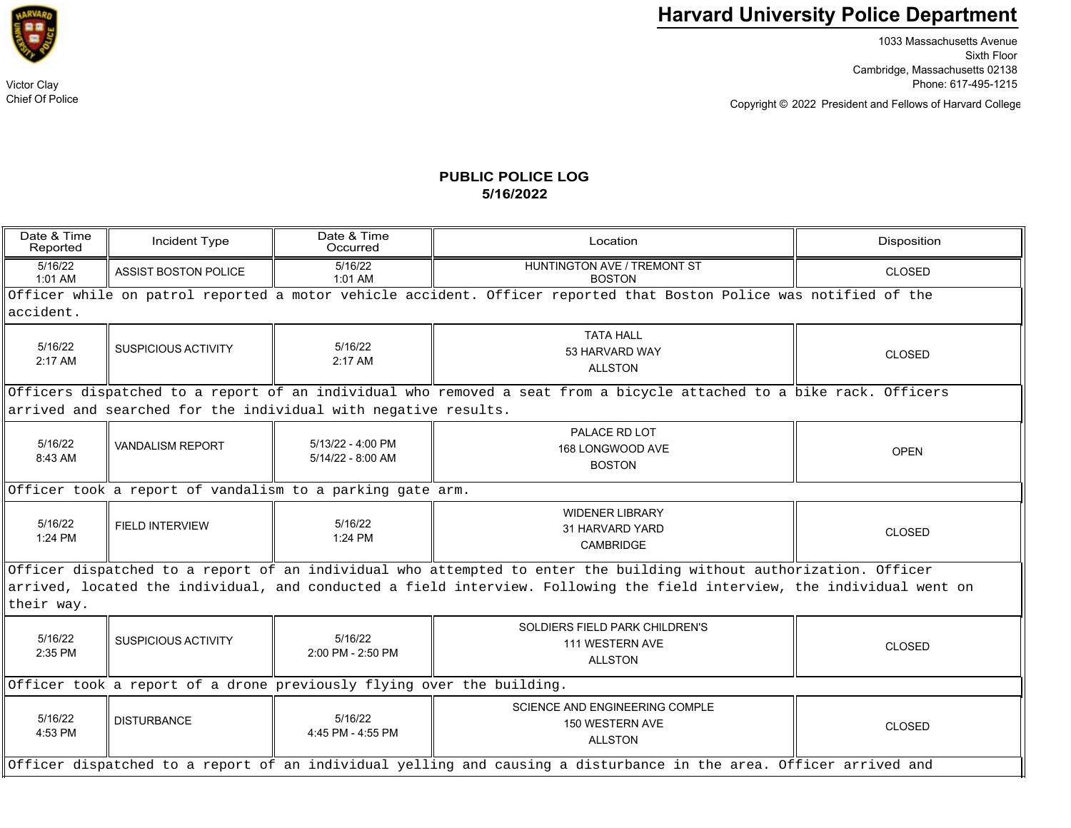

Chief Of Police

## **Harvard University Police Department**

1033 Massachusetts Avenue Sixth Floor Cambridge, Massachusetts 02138 Victor Clay Phone: 617-495-1215

Copyright © President and Fellows of Harvard College 2022

## **PUBLIC POLICE LOG5/16/2022**

| Date & Time<br>Reported                                                                                                               | Incident Type               | Date & Time<br>Occurred                  | Location                                                                   | Disposition   |  |  |  |  |
|---------------------------------------------------------------------------------------------------------------------------------------|-----------------------------|------------------------------------------|----------------------------------------------------------------------------|---------------|--|--|--|--|
| 5/16/22<br>$1:01$ AM                                                                                                                  | <b>ASSIST BOSTON POLICE</b> | 5/16/22<br>1:01 AM                       | HUNTINGTON AVE / TREMONT ST<br><b>BOSTON</b>                               | <b>CLOSED</b> |  |  |  |  |
| Officer while on patrol reported a motor vehicle accident. Officer reported that Boston Police was notified of the                    |                             |                                          |                                                                            |               |  |  |  |  |
| accident.                                                                                                                             |                             |                                          |                                                                            |               |  |  |  |  |
| 5/16/22<br>$2:17$ AM                                                                                                                  | <b>SUSPICIOUS ACTIVITY</b>  | 5/16/22<br>2:17 AM                       | <b>TATA HALL</b><br>53 HARVARD WAY<br><b>ALLSTON</b>                       | <b>CLOSED</b> |  |  |  |  |
| Officers dispatched to a report of an individual who removed a seat from a bicycle attached to a bike rack. Officers                  |                             |                                          |                                                                            |               |  |  |  |  |
| arrived and searched for the individual with negative results.                                                                        |                             |                                          |                                                                            |               |  |  |  |  |
| 5/16/22<br>8:43 AM                                                                                                                    | <b>VANDALISM REPORT</b>     | $5/13/22 - 4:00$ PM<br>5/14/22 - 8:00 AM | PALACE RD LOT<br>168 LONGWOOD AVE<br><b>BOSTON</b>                         | <b>OPEN</b>   |  |  |  |  |
| Officer took a report of vandalism to a parking gate arm.                                                                             |                             |                                          |                                                                            |               |  |  |  |  |
| 5/16/22<br>$1:24$ PM                                                                                                                  | <b>FIELD INTERVIEW</b>      | 5/16/22<br>1:24 PM                       | <b>WIDENER LIBRARY</b><br>31 HARVARD YARD<br>CAMBRIDGE                     | <b>CLOSED</b> |  |  |  |  |
| Officer dispatched to a report of an individual who attempted to enter the building without authorization. Officer                    |                             |                                          |                                                                            |               |  |  |  |  |
| arrived, located the individual, and conducted a field interview. Following the field interview, the individual went on<br>their way. |                             |                                          |                                                                            |               |  |  |  |  |
| 5/16/22<br>2:35 PM                                                                                                                    | SUSPICIOUS ACTIVITY         | 5/16/22<br>2:00 PM - 2:50 PM             | SOLDIERS FIELD PARK CHILDREN'S<br>111 WESTERN AVE<br><b>ALLSTON</b>        | <b>CLOSED</b> |  |  |  |  |
| Officer took a report of a drone previously flying over the building.                                                                 |                             |                                          |                                                                            |               |  |  |  |  |
| 5/16/22<br>4:53 PM                                                                                                                    | <b>DISTURBANCE</b>          | 5/16/22<br>4:45 PM - 4:55 PM             | <b>SCIENCE AND ENGINEERING COMPLE</b><br>150 WESTERN AVE<br><b>ALLSTON</b> | <b>CLOSED</b> |  |  |  |  |
| Officer dispatched to a report of an individual yelling and causing a disturbance in the area. Officer arrived and                    |                             |                                          |                                                                            |               |  |  |  |  |